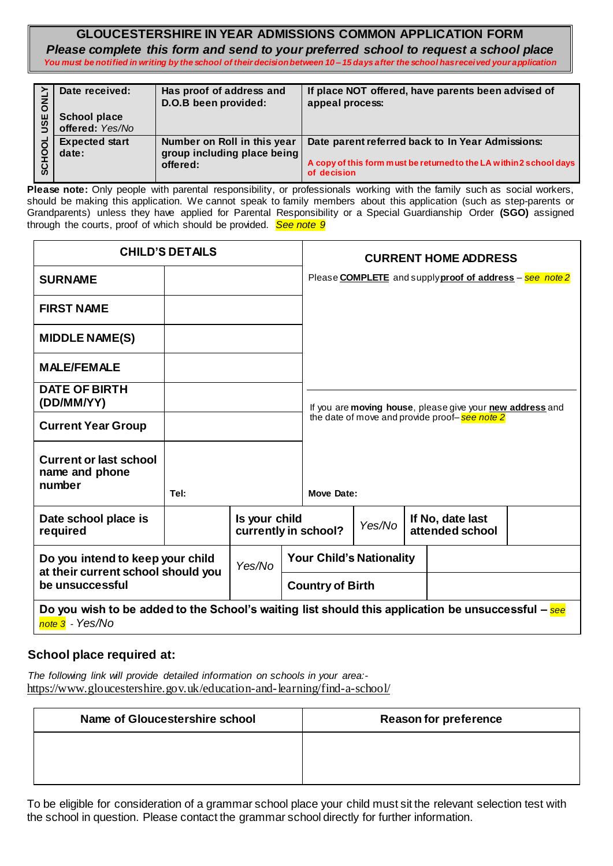#### **GLOUCESTERSHIRE IN YEAR ADMISSIONS COMMON APPLICATION FORM** *Please complete this form and send to your preferred school to request a school place You must be notified in writing by the school of their decision between 10 – 15 days after the school has received your application*

|     | Date received:        | Has proof of address and<br>D.O.B been provided: | If place NOT offered, have parents been advised of<br>appeal process:              |
|-----|-----------------------|--------------------------------------------------|------------------------------------------------------------------------------------|
| JSE | <b>School place</b>   |                                                  |                                                                                    |
|     | offered: Yes/No       |                                                  |                                                                                    |
|     | <b>Expected start</b> | Number on Roll in this year                      | Date parent referred back to In Year Admissions:                                   |
|     | date:                 | group including place being                      |                                                                                    |
|     |                       | offered:                                         | A copy of this form must be returned to the LA within 2 school days<br>of decision |

|  | SCHOOL USE ONLY                                                                           | Date received:<br><b>School place</b><br>offered: Yes/No                                                                                                                                                                                                                                                                                                                                                                                  | Has proof of address and<br>D.O.B been provided:                       |                                       |                                                                                                            | appeal process:             |        |  | If place NOT offered, have parents been advised of                                                                      |  |
|--|-------------------------------------------------------------------------------------------|-------------------------------------------------------------------------------------------------------------------------------------------------------------------------------------------------------------------------------------------------------------------------------------------------------------------------------------------------------------------------------------------------------------------------------------------|------------------------------------------------------------------------|---------------------------------------|------------------------------------------------------------------------------------------------------------|-----------------------------|--------|--|-------------------------------------------------------------------------------------------------------------------------|--|
|  |                                                                                           | <b>Expected start</b><br>date:                                                                                                                                                                                                                                                                                                                                                                                                            | Number on Roll in this year<br>group including place being<br>offered: |                                       |                                                                                                            | of decision                 |        |  | Date parent referred back to In Year Admissions:<br>A copy of this form must be returned to the LA within 2 school days |  |
|  |                                                                                           | Please note: Only people with parental responsibility, or professionals working with the family such as social workers,<br>should be making this application. We cannot speak to family members about this application (such as step-parents or<br>Grandparents) unless they have applied for Parental Responsibility or a Special Guardianship Order (SGO) assigned<br>through the courts, proof of which should be provided. See note 9 |                                                                        |                                       |                                                                                                            |                             |        |  |                                                                                                                         |  |
|  | <b>CHILD'S DETAILS</b>                                                                    |                                                                                                                                                                                                                                                                                                                                                                                                                                           |                                                                        |                                       |                                                                                                            | <b>CURRENT HOME ADDRESS</b> |        |  |                                                                                                                         |  |
|  |                                                                                           | <b>SURNAME</b>                                                                                                                                                                                                                                                                                                                                                                                                                            |                                                                        |                                       |                                                                                                            |                             |        |  | Please <b>COMPLETE</b> and supply proof of address - see note 2                                                         |  |
|  |                                                                                           | <b>FIRST NAME</b>                                                                                                                                                                                                                                                                                                                                                                                                                         |                                                                        |                                       |                                                                                                            |                             |        |  |                                                                                                                         |  |
|  |                                                                                           | <b>MIDDLE NAME(S)</b>                                                                                                                                                                                                                                                                                                                                                                                                                     |                                                                        |                                       |                                                                                                            |                             |        |  |                                                                                                                         |  |
|  |                                                                                           | <b>MALE/FEMALE</b>                                                                                                                                                                                                                                                                                                                                                                                                                        |                                                                        |                                       |                                                                                                            |                             |        |  |                                                                                                                         |  |
|  | <b>DATE OF BIRTH</b><br>(DD/MM/YY)<br><b>Current Year Group</b>                           |                                                                                                                                                                                                                                                                                                                                                                                                                                           |                                                                        |                                       | If you are moving house, please give your new address and<br>the date of move and provide proof-see note 2 |                             |        |  |                                                                                                                         |  |
|  |                                                                                           |                                                                                                                                                                                                                                                                                                                                                                                                                                           |                                                                        |                                       |                                                                                                            |                             |        |  |                                                                                                                         |  |
|  |                                                                                           | <b>Current or last school</b><br>name and phone<br>number                                                                                                                                                                                                                                                                                                                                                                                 | Tel:                                                                   | Is your child<br>currently in school? |                                                                                                            | <b>Move Date:</b>           |        |  |                                                                                                                         |  |
|  |                                                                                           | Date school place is<br>required                                                                                                                                                                                                                                                                                                                                                                                                          |                                                                        |                                       |                                                                                                            |                             | Yes/No |  | If No, date last<br>attended school                                                                                     |  |
|  | Do you intend to keep your child<br>at their current school should you<br>be unsuccessful |                                                                                                                                                                                                                                                                                                                                                                                                                                           | Yes/No                                                                 |                                       | <b>Your Child's Nationality</b>                                                                            |                             |        |  |                                                                                                                         |  |
|  |                                                                                           |                                                                                                                                                                                                                                                                                                                                                                                                                                           |                                                                        |                                       |                                                                                                            | <b>Country of Birth</b>     |        |  |                                                                                                                         |  |
|  |                                                                                           | Do you wish to be added to the School's waiting list should this application be unsuccessful $-$ see<br>note 3 - Yes/No                                                                                                                                                                                                                                                                                                                   |                                                                        |                                       |                                                                                                            |                             |        |  |                                                                                                                         |  |
|  |                                                                                           | School place required at:                                                                                                                                                                                                                                                                                                                                                                                                                 |                                                                        |                                       |                                                                                                            |                             |        |  |                                                                                                                         |  |
|  |                                                                                           | The following link will provide detailed information on schools in your area:-<br>https://www.gloucestershire.gov.uk/education-and-learning/find-a-school/                                                                                                                                                                                                                                                                                |                                                                        |                                       |                                                                                                            |                             |        |  |                                                                                                                         |  |
|  | <b>Name of Gloucestershire school</b>                                                     |                                                                                                                                                                                                                                                                                                                                                                                                                                           |                                                                        | <b>Reason for preference</b>          |                                                                                                            |                             |        |  |                                                                                                                         |  |
|  |                                                                                           |                                                                                                                                                                                                                                                                                                                                                                                                                                           |                                                                        |                                       |                                                                                                            |                             |        |  |                                                                                                                         |  |
|  |                                                                                           |                                                                                                                                                                                                                                                                                                                                                                                                                                           |                                                                        |                                       |                                                                                                            |                             |        |  |                                                                                                                         |  |
|  |                                                                                           | To be eligible for consideration of a grammar school place your child must sit the relevant selection test with<br>the school in question. Please contact the grammar school directly for further information.                                                                                                                                                                                                                            |                                                                        |                                       |                                                                                                            |                             |        |  |                                                                                                                         |  |

## **School place required at:**

| Name of Gloucestershire school | <b>Reason for preference</b> |
|--------------------------------|------------------------------|
|                                |                              |
|                                |                              |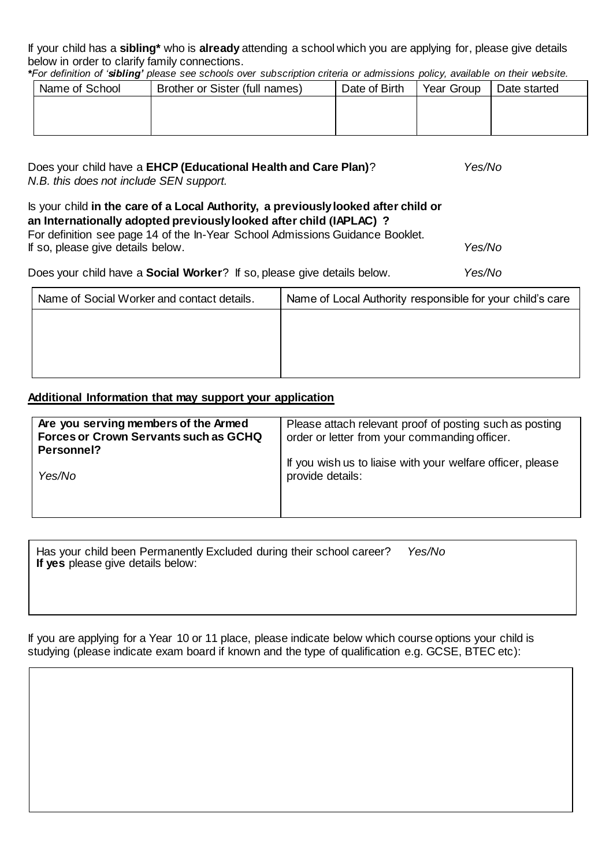If your child has a **sibling\*** who is **already** attending a school which you are applying for, please give details below in order to clarify family connections.

*\*For definition of 'sibling' please see schools over subscription criteria or admissions policy, available on their website.*

| Name of School | Brother or Sister (full names) | Date of Birth | Year Group | Date started |
|----------------|--------------------------------|---------------|------------|--------------|
|                |                                |               |            |              |
|                |                                |               |            |              |
|                |                                |               |            |              |

| Does your child have a EHCP (Educational Health and Care Plan)?<br>N.B. this does not include SEN support.                                                                                                                                                                      | Yes/No |  |
|---------------------------------------------------------------------------------------------------------------------------------------------------------------------------------------------------------------------------------------------------------------------------------|--------|--|
| Is your child in the care of a Local Authority, a previously looked after child or<br>an Internationally adopted previously looked after child (IAPLAC) ?<br>For definition see page 14 of the In-Year School Admissions Guidance Booklet.<br>If so, please give details below. | Yes/No |  |
| Does your child have a <b>Social Worker</b> ? If so, please give details below.                                                                                                                                                                                                 | Yes/No |  |
|                                                                                                                                                                                                                                                                                 |        |  |

| Name of Social Worker and contact details. | Name of Local Authority responsible for your child's care |
|--------------------------------------------|-----------------------------------------------------------|
|                                            |                                                           |
|                                            |                                                           |
|                                            |                                                           |
|                                            |                                                           |

### **Additional Information that may support your application**

| Are you serving members of the Armed<br><b>Forces or Crown Servants such as GCHQ</b><br>Personnel? | Please attach relevant proof of posting such as posting<br>order or letter from your commanding officer. |
|----------------------------------------------------------------------------------------------------|----------------------------------------------------------------------------------------------------------|
| Yes/No                                                                                             | If you wish us to liaise with your welfare officer, please<br>provide details:                           |

Has your child been Permanently Excluded during their school career? *Yes/No* **If yes** please give details below:

If you are applying for a Year 10 or 11 place, please indicate below which course options your child is studying (please indicate exam board if known and the type of qualification e.g. GCSE, BTEC etc):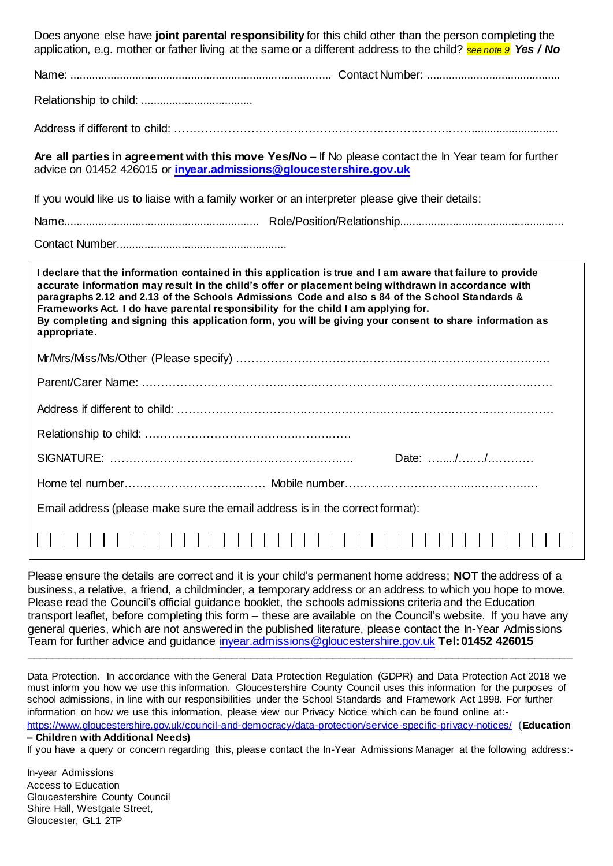| Does anyone else have joint parental responsibility for this child other than the person completing the<br>application, e.g. mother or father living at the same or a different address to the child? see note 9 Yes / No                                                                                                                                                                                                                                                                                                                |  |  |  |  |  |
|------------------------------------------------------------------------------------------------------------------------------------------------------------------------------------------------------------------------------------------------------------------------------------------------------------------------------------------------------------------------------------------------------------------------------------------------------------------------------------------------------------------------------------------|--|--|--|--|--|
|                                                                                                                                                                                                                                                                                                                                                                                                                                                                                                                                          |  |  |  |  |  |
|                                                                                                                                                                                                                                                                                                                                                                                                                                                                                                                                          |  |  |  |  |  |
|                                                                                                                                                                                                                                                                                                                                                                                                                                                                                                                                          |  |  |  |  |  |
| Are all parties in agreement with this move Yes/No - If No please contact the In Year team for further<br>advice on 01452 426015 or invear.admissions@gloucestershire.gov.uk                                                                                                                                                                                                                                                                                                                                                             |  |  |  |  |  |
| If you would like us to liaise with a family worker or an interpreter please give their details:                                                                                                                                                                                                                                                                                                                                                                                                                                         |  |  |  |  |  |
|                                                                                                                                                                                                                                                                                                                                                                                                                                                                                                                                          |  |  |  |  |  |
|                                                                                                                                                                                                                                                                                                                                                                                                                                                                                                                                          |  |  |  |  |  |
| I declare that the information contained in this application is true and I am aware that failure to provide<br>accurate information may result in the child's offer or placement being withdrawn in accordance with<br>paragraphs 2.12 and 2.13 of the Schools Admissions Code and also s 84 of the School Standards &<br>Frameworks Act. I do have parental responsibility for the child I am applying for.<br>By completing and signing this application form, you will be giving your consent to share information as<br>appropriate. |  |  |  |  |  |
|                                                                                                                                                                                                                                                                                                                                                                                                                                                                                                                                          |  |  |  |  |  |
|                                                                                                                                                                                                                                                                                                                                                                                                                                                                                                                                          |  |  |  |  |  |
|                                                                                                                                                                                                                                                                                                                                                                                                                                                                                                                                          |  |  |  |  |  |
|                                                                                                                                                                                                                                                                                                                                                                                                                                                                                                                                          |  |  |  |  |  |
| Date: //                                                                                                                                                                                                                                                                                                                                                                                                                                                                                                                                 |  |  |  |  |  |
|                                                                                                                                                                                                                                                                                                                                                                                                                                                                                                                                          |  |  |  |  |  |
| Email address (please make sure the email address is in the correct format):                                                                                                                                                                                                                                                                                                                                                                                                                                                             |  |  |  |  |  |
|                                                                                                                                                                                                                                                                                                                                                                                                                                                                                                                                          |  |  |  |  |  |

Please ensure the details are correct and it is your child's permanent home address; **NOT** the address of a business, a relative, a friend, a childminder, a temporary address or an address to which you hope to move. Please read the Council's official guidance booklet, the schools admissions criteria and the Education transport leaflet, before completing this form – these are available on the Council's website. If you have any general queries, which are not answered in the published literature, please contact the In-Year Admissions Team for further advice and guidance [inyear.admissions@gloucestershire.gov.uk](mailto:inyear.admissions@gloucestershire.gov.uk) **Tel: 01452 426015 \_\_\_\_\_\_\_\_\_\_\_\_\_\_\_\_\_\_\_\_\_\_\_\_\_\_\_\_\_\_\_\_\_\_\_\_\_\_\_\_\_\_\_\_\_\_\_\_\_\_\_\_\_\_\_\_\_\_\_\_\_\_\_\_\_\_\_\_\_\_\_\_\_\_\_\_\_\_\_\_\_\_\_\_\_\_\_**

Data Protection. In accordance with the General Data Protection Regulation (GDPR) and Data Protection Act 2018 we must inform you how we use this information. Gloucestershire County Council uses this information for the purposes of school admissions, in line with our responsibilities under the School Standards and Framework Act 1998. For further information on how we use this information, please view our Privacy Notice which can be found online at: <https://www.gloucestershire.gov.uk/council-and-democracy/data-protection/service-specific-privacy-notices/> (**Education** 

#### **– Children with Additional Needs)**

If you have a query or concern regarding this, please contact the In-Year Admissions Manager at the following address:-

In-year Admissions Access to Education Gloucestershire County Council Shire Hall, Westgate Street, Gloucester, GL1 2TP